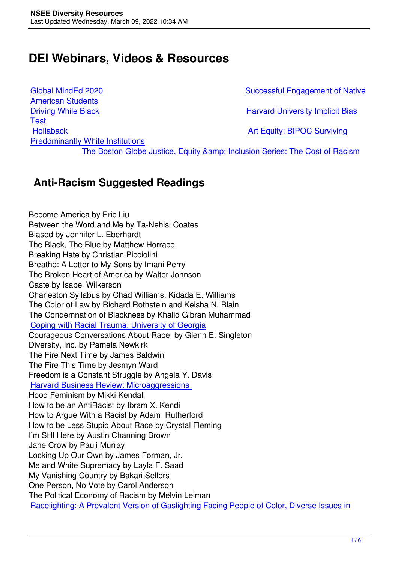# **DEI Webinars, Videos & Resources**

American Students **[Test](https://www.youtube.com/channel/UCxqTrgg13TJxZvWh_JAPaZQ)** [Predominantly Whit](https://www.pbs.org/show/driving-while-black/)e Institutions

Global MindEd 2020 Successful Engagement of Native

Driving While Black Harvard University Implicit Bias

[Hollaback](https://www.youtube.com/watch?v=UR2SpgCeIfE&feature=share) [Art Equity: BIPOC Surviving](https://www.youtube.com/watch?v=UR2SpgCeIfE&feature=share)

The Boston Globe Justice, Equity & amp; Inclu[sion Series: The Cost of Racism](https://implicit.harvard.edu/implicit/user/agg/blindspot/indexrk.htm)

### **[Anti-Raci](https://www.artequity.org/bipoc-pwi)[sm Suggested Readings](https://thecostofracism.splashthat.com/)**

Become America by Eric Liu Between the Word and Me by Ta-Nehisi Coates Biased by Jennifer L. Eberhardt The Black, The Blue by Matthew Horrace Breaking Hate by Christian Picciolini Breathe: A Letter to My Sons by Imani Perry The Broken Heart of America by Walter Johnson Caste by Isabel Wilkerson Charleston Syllabus by Chad Williams, Kidada E. Williams The Color of Law by Richard Rothstein and Keisha N. Blain The Condemnation of Blackness by Khalid Gibran Muhammad Coping with Racial Trauma: University of Georgia Courageous Conversations About Race by Glenn E. Singleton Diversity, Inc. by Pamela Newkirk [The Fire Next Time by James Baldwin](https://psychology.uga.edu/coping-racial-trauma) The Fire This Time by Jesmyn Ward Freedom is a Constant Struggle by Angela Y. Davis Harvard Business Review: Microaggressions Hood Feminism by Mikki Kendall How to be an AntiRacist by Ibram X. Kendi [How to Argue With a Racist by Adam Rutherfo](https://hbr.org/2020/07/youve-been-called-out-for-a-microaggression-what-do-you-do?fbclid=IwAR1k8ZWhG_VZ9UudCwBWudbmJKDhu8F_Y8JGf7NR3SzFPsMAY79l2YyzUsk)rd How to be Less Stupid About Race by Crystal Fleming I'm Still Here by Austin Channing Brown Jane Crow by Pauli Murray Locking Up Our Own by James Forman, Jr. Me and White Supremacy by Layla F. Saad My Vanishing Country by Bakari Sellers One Person, No Vote by Carol Anderson The Political Economy of Racism by Melvin Leiman Racelighting: A Prevalent Version of Gaslighting Facing People of Color, Diverse Issues in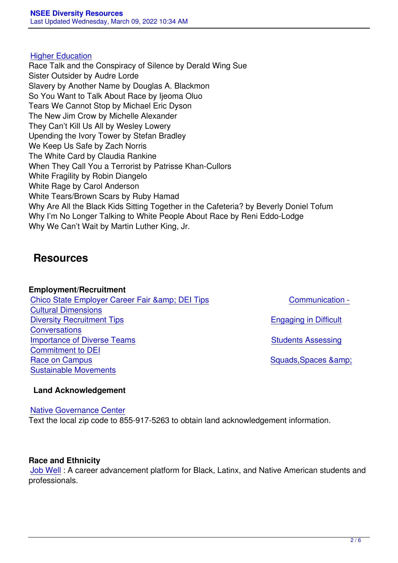#### Higher Education

Race Talk and the Conspiracy of Silence by Derald Wing Sue Sister Outsider by Audre Lorde [Slavery by Anothe](https://diverseeducation.com/article/205210/)r Name by Douglas A. Blackmon So You Want to Talk About Race by Ijeoma Oluo Tears We Cannot Stop by Michael Eric Dyson The New Jim Crow by Michelle Alexander They Can't Kill Us All by Wesley Lowery Upending the Ivory Tower by Stefan Bradley We Keep Us Safe by Zach Norris The White Card by Claudia Rankine When They Call You a Terrorist by Patrisse Khan-Cullors White Fragility by Robin Diangelo White Rage by Carol Anderson White Tears/Brown Scars by Ruby Hamad Why Are All the Black Kids Sitting Together in the Cafeteria? by Beverly Doniel Tofum Why I'm No Longer Talking to White People About Race by Reni Eddo-Lodge Why We Can't Wait by Martin Luther King, Jr.

### **Resources**

**Employment/Recruitment** Chico State Employer Career Fair & DEI Tips Communication - Cultural Dimensions Diversity Recruitment Tips **Bullet Contains a Container Container Container Container Container Container Container [Conversations](https://www.csuchico.edu/careers/employers/index.shtml)** [Importance of Divers](https://docs.google.com/document/d/1hZlyizgF7BNMl2_eN83FdWOwnJWPrfWK0fPqv4pIjDs/edit)e Teams Stud[ents Assessing](https://docs.google.com/document/d/1hZlyizgF7BNMl2_eN83FdWOwnJWPrfWK0fPqv4pIjDs/edit) [Commitment to DEI](https://www.rakuna.co/blog/posts/diversity-recruiting-strategy-best-practices/) [Race on Camp](https://docs.google.com/document/d/1-qrjtaZraD885zg8VlozUQ5j9IkShR0wdeNYC6DFLZc/edit)us **Back and Campus Example 3** and Squads, Spaces & amp; [Sustainable Movements](https://hbr.org/2016/11/why-diverse-teams-are-smarter)

#### **[Land Acknowle](https://www.chronicle.com/newsletter/race-on-campus/2021-03-02)[dg](https://www.naceweb.org/diversity-equity-and-inclusion/best-practices/questions-students-may-ask-to-assess-your-organizations-commitment-to-dei/)ement**

#### [Native Governance Cen](https://dviyer.medium.com/squads-spaces-and-sustainable-movements-60ca40953339)ter

Text the local zip code to 855-917-5263 to obtain land acknowledgement information.

#### **Race and Ethnicity**

Job Well : A career advancement platform for Black, Latinx, and Native American students and professionals.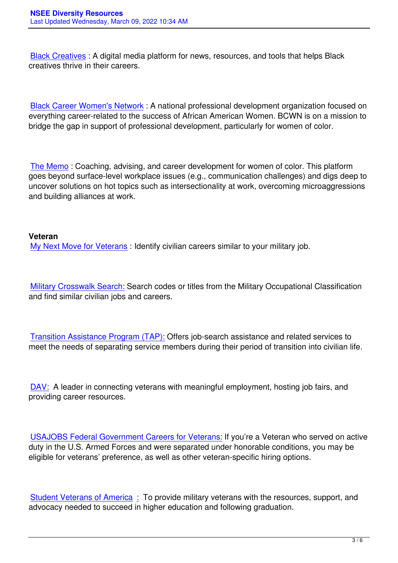Black Creatives : A digital media platform for news, resources, and tools that helps Black creatives thrive in their careers.

Black Career Women's Network : A national professional development organization focused on everything career-related to the success of African American Women. BCWN is on a mission to bridge the gap in support of professional development, particularly for women of color.

The Memo : Coaching, advising, and career development for women of color. This platform goes beyond surface-level workplace issues (e.g., communication challenges) and digs deep to uncover solutions on hot topics such as intersectionality at work, overcoming microaggressions [and building](https://www.myweeklymemo.com/) alliances at work.

#### **Veteran**

My Next Move for Veterans : Identify civilian careers similar to your military job.

[Military Crosswalk Search:](https://www.mynextmove.org/vets/) Search codes or titles from the Military Occupational Classification and find similar civilian jobs and careers.

Transition Assistance Program (TAP): Offers job-search assistance and related services to meet the needs of separating service members during their period of transition into civilian life.

DAV: A leader in connecting veterans with meaningful employment, hosting job fairs, and providing career resources.

USAJOBS Federal Government Careers for Veterans: If you're a Veteran who served on active duty in the U.S. Armed Forces and were separated under honorable conditions, you may be eligible for veterans' preference, as well as other veteran-specific hiring options.

Student Veterans of America : To provide military veterans with the resources, support, and advocacy needed to succeed in higher education and following graduation.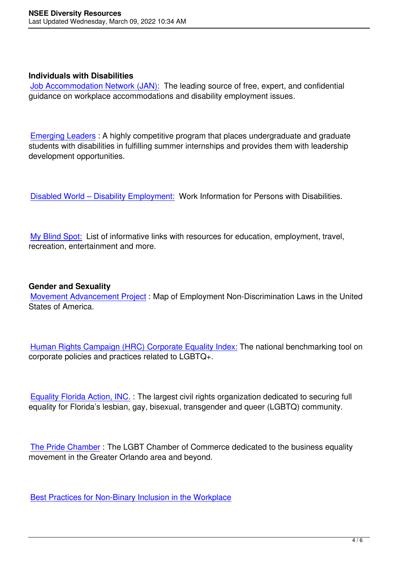#### **Individuals with Disabilities**

Job Accommodation Network (JAN): The leading source of free, expert, and confidential guidance on workplace accommodations and disability employment issues.

Emerging Leaders : A highly competitive program that places undergraduate and graduate students with disabilities in fulfilling summer internships and provides them with leadership development opportunities.

Disabled World – Disability Employment: Work Information for Persons with Disabilities.

[My Blind Spot: List of informative links w](https://www.disabled-world.com/disability/employment/)ith resources for education, employment, travel, recreation, entertainment and more.

#### **Gender and Sexuality**

Movement Advancement Project : Map of Employment Non-Discrimination Laws in the United States of America.

Human Rights Campaign (HRC) Corporate Equality Index: The national benchmarking tool on corporate policies and practices related to LGBTQ+.

Equality Florida Action, INC. : The largest civil rights organization dedicated to securing full equality for Florida's lesbian, gay, bisexual, transgender and queer (LGBTQ) community.

The Pride Chamber : The LGBT Chamber of Commerce dedicated to the business equality movement in the Greater Orlando area and beyond.

Best Practices for Non-Binary Inclusion in the Workplace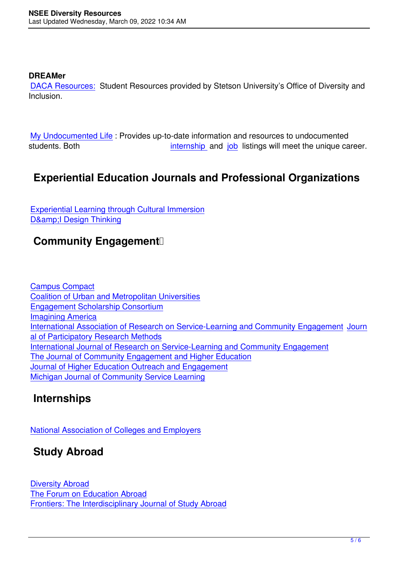#### **DREAMer**

DACA Resources: Student Resources provided by Stetson University's Office of Diversity and Inclusion.

My Undocumented Life : Provides up-to-date information and resources to undocumented students. Both internship and job listings will meet the unique career.

## **[Experiential Edu](https://mydocumentedlife.org/)cation Jo[urnals an](https://mydocumentedlife.org/category/internships/)d [Pro](https://www.stetson.edu/administration/career/%20https:/mydocumentedlife.org/category/jobs/)fessional Organizations**

Experiential Learning through Cultural Immersion D& I Design Thinking

## **Community Engagement**<sup>[]</sup>

Campus Compact Coalition of Urban and Metropolitan Universities Engagement Scholarship Consortium [Imagining America](https://compact.org/) [International Association of Research on Service](https://www.cumuonline.org/)-Learning and Community Engagement Journ [al of Participatory Research Methods](https://engagementscholarship.org/) [International Journa](https://imaginingamerica.org/)l of Research on Service-Learning and Community Engagement [The Journal of Community Engagement and Higher Education](https://www.researchslce.org/) [Journal of Higher Education Outreach](https://jprm.scholasticahq.com/) and Engagement [Michigan Journal of Community Service Learning](https://ijrslce.scholasticahq.com/)

### **[Internships](https://openjournals.libs.uga.edu/jheoe/index)**

National Association of Colleges and Employers

## **Study Abroad**

Diversity Abroad The Forum on Education Abroad Frontiers: The Interdisciplinary Journal of Study Abroad